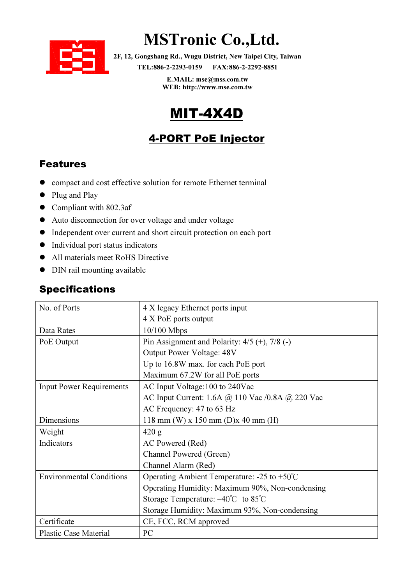

# MSTronic Co.,Ltd.

2F, 12, Gongshang Rd., Wugu District, New Taipei City, Taiwan TEL:886-2-2293-0159 FAX:886-2-2292-8851

> E.MAIL: mse@mss.com.tw WEB: http://www.mse.com.tw

### MIT-4X4D

### 4-PORT PoE Injector

#### Features

- compact and cost effective solution for remote Ethernet terminal
- Plug and Play
- Compliant with 802.3af
- Auto disconnection for over voltage and under voltage
- Independent over current and short circuit protection on each port
- $\bullet$  Individual port status indicators
- All materials meet RoHS Directive
- DIN rail mounting available

#### Specifications

| No. of Ports                    | 4 X legacy Ethernet ports input                         |  |  |  |
|---------------------------------|---------------------------------------------------------|--|--|--|
|                                 | 4 X PoE ports output                                    |  |  |  |
| Data Rates                      | $10/100$ Mbps                                           |  |  |  |
| PoE Output                      | Pin Assignment and Polarity: $4/5$ (+), $7/8$ (-)       |  |  |  |
|                                 | Output Power Voltage: 48V                               |  |  |  |
|                                 | Up to 16.8W max. for each PoE port                      |  |  |  |
|                                 | Maximum 67.2W for all PoE ports                         |  |  |  |
| <b>Input Power Requirements</b> | AC Input Voltage:100 to 240Vac                          |  |  |  |
|                                 | AC Input Current: 1.6A @ 110 Vac /0.8A @ 220 Vac        |  |  |  |
|                                 | AC Frequency: 47 to 63 Hz                               |  |  |  |
| Dimensions                      | 118 mm (W) x 150 mm (D)x 40 mm (H)                      |  |  |  |
| Weight                          | 420 g                                                   |  |  |  |
| Indicators                      | AC Powered (Red)                                        |  |  |  |
|                                 | Channel Powered (Green)                                 |  |  |  |
|                                 | Channel Alarm (Red)                                     |  |  |  |
| <b>Environmental Conditions</b> | Operating Ambient Temperature: $-25$ to $+50^{\circ}$ C |  |  |  |
|                                 | Operating Humidity: Maximum 90%, Non-condensing         |  |  |  |
|                                 | Storage Temperature: $-40^{\circ}$ C to 85 $^{\circ}$ C |  |  |  |
|                                 | Storage Humidity: Maximum 93%, Non-condensing           |  |  |  |
| Certificate                     | CE, FCC, RCM approved                                   |  |  |  |
| <b>Plastic Case Material</b>    | PC                                                      |  |  |  |